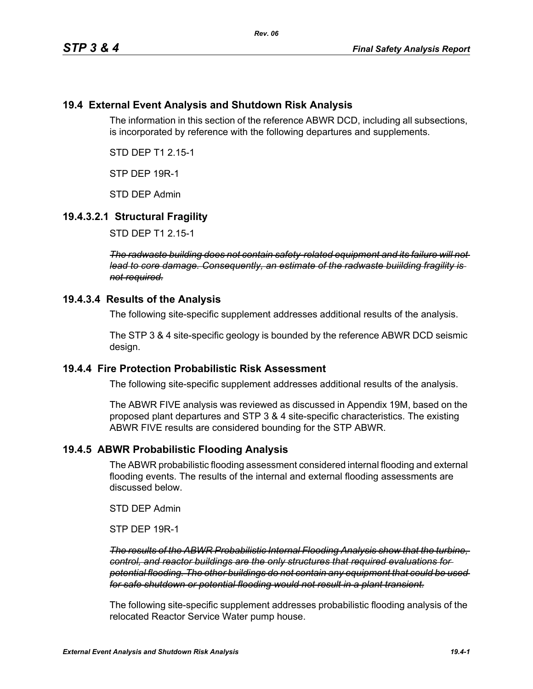## **19.4 External Event Analysis and Shutdown Risk Analysis**

The information in this section of the reference ABWR DCD, including all subsections, is incorporated by reference with the following departures and supplements.

STD DEP T1 2.15-1

STP DEP 19R-1

STD DEP Admin

## **19.4.3.2.1 Structural Fragility**

STD DEP T1 2.15-1

*The radwaste building does not contain safety-related equipment and its failure will not lead to core damage. Consequently, an estimate of the radwaste buiilding fragility is not required.*

#### **19.4.3.4 Results of the Analysis**

The following site-specific supplement addresses additional results of the analysis.

The STP 3 & 4 site-specific geology is bounded by the reference ABWR DCD seismic design.

#### **19.4.4 Fire Protection Probabilistic Risk Assessment**

The following site-specific supplement addresses additional results of the analysis.

The ABWR FIVE analysis was reviewed as discussed in Appendix 19M, based on the proposed plant departures and STP 3 & 4 site-specific characteristics. The existing ABWR FIVE results are considered bounding for the STP ABWR.

## **19.4.5 ABWR Probabilistic Flooding Analysis**

The ABWR probabilistic flooding assessment considered internal flooding and external flooding events. The results of the internal and external flooding assessments are discussed below.

STD DEP Admin

STP DEP 19R-1

*The results of the ABWR Probabilistic Internal Flooding Analysis show that the turbine, control, and reactor buildings are the only structures that required evaluations for potential flooding. The other buildings do not contain any equipment that could be used for safe shutdown or potential flooding would not result in a plant transient.*

The following site-specific supplement addresses probabilistic flooding analysis of the relocated Reactor Service Water pump house.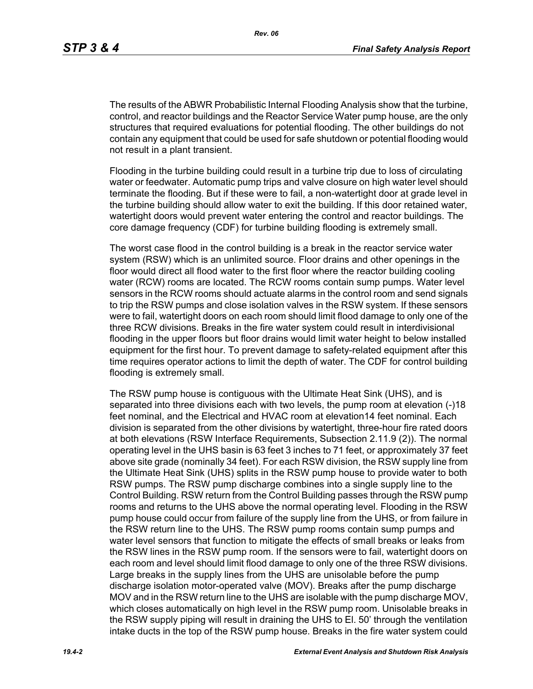The results of the ABWR Probabilistic Internal Flooding Analysis show that the turbine, control, and reactor buildings and the Reactor Service Water pump house, are the only structures that required evaluations for potential flooding. The other buildings do not contain any equipment that could be used for safe shutdown or potential flooding would not result in a plant transient.

Flooding in the turbine building could result in a turbine trip due to loss of circulating water or feedwater. Automatic pump trips and valve closure on high water level should terminate the flooding. But if these were to fail, a non-watertight door at grade level in the turbine building should allow water to exit the building. If this door retained water, watertight doors would prevent water entering the control and reactor buildings. The core damage frequency (CDF) for turbine building flooding is extremely small.

The worst case flood in the control building is a break in the reactor service water system (RSW) which is an unlimited source. Floor drains and other openings in the floor would direct all flood water to the first floor where the reactor building cooling water (RCW) rooms are located. The RCW rooms contain sump pumps. Water level sensors in the RCW rooms should actuate alarms in the control room and send signals to trip the RSW pumps and close isolation valves in the RSW system. If these sensors were to fail, watertight doors on each room should limit flood damage to only one of the three RCW divisions. Breaks in the fire water system could result in interdivisional flooding in the upper floors but floor drains would limit water height to below installed equipment for the first hour. To prevent damage to safety-related equipment after this time requires operator actions to limit the depth of water. The CDF for control building flooding is extremely small.

The RSW pump house is contiguous with the Ultimate Heat Sink (UHS), and is separated into three divisions each with two levels, the pump room at elevation (-)18 feet nominal, and the Electrical and HVAC room at elevation14 feet nominal. Each division is separated from the other divisions by watertight, three-hour fire rated doors at both elevations (RSW Interface Requirements, Subsection 2.11.9 (2)). The normal operating level in the UHS basin is 63 feet 3 inches to 71 feet, or approximately 37 feet above site grade (nominally 34 feet). For each RSW division, the RSW supply line from the Ultimate Heat Sink (UHS) splits in the RSW pump house to provide water to both RSW pumps. The RSW pump discharge combines into a single supply line to the Control Building. RSW return from the Control Building passes through the RSW pump rooms and returns to the UHS above the normal operating level. Flooding in the RSW pump house could occur from failure of the supply line from the UHS, or from failure in the RSW return line to the UHS. The RSW pump rooms contain sump pumps and water level sensors that function to mitigate the effects of small breaks or leaks from the RSW lines in the RSW pump room. If the sensors were to fail, watertight doors on each room and level should limit flood damage to only one of the three RSW divisions. Large breaks in the supply lines from the UHS are unisolable before the pump discharge isolation motor-operated valve (MOV). Breaks after the pump discharge MOV and in the RSW return line to the UHS are isolable with the pump discharge MOV, which closes automatically on high level in the RSW pump room. Unisolable breaks in the RSW supply piping will result in draining the UHS to El. 50' through the ventilation intake ducts in the top of the RSW pump house. Breaks in the fire water system could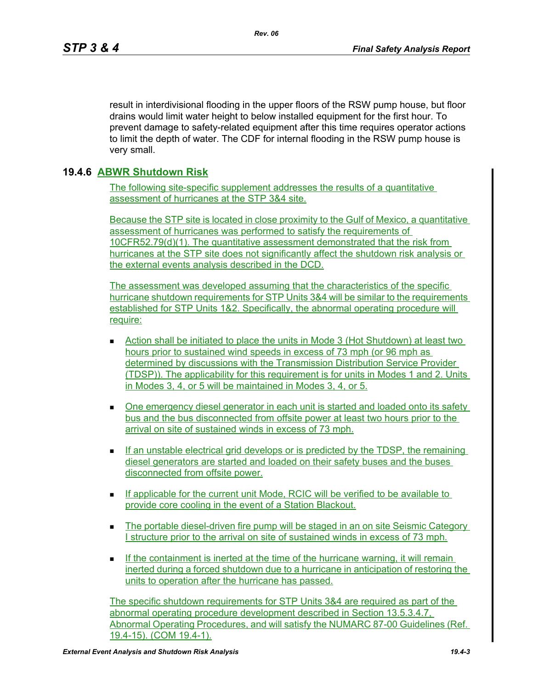result in interdivisional flooding in the upper floors of the RSW pump house, but floor drains would limit water height to below installed equipment for the first hour. To prevent damage to safety-related equipment after this time requires operator actions to limit the depth of water. The CDF for internal flooding in the RSW pump house is very small.

# **19.4.6 ABWR Shutdown Risk**

The following site-specific supplement addresses the results of a quantitative assessment of hurricanes at the STP 3&4 site.

Because the STP site is located in close proximity to the Gulf of Mexico, a quantitative assessment of hurricanes was performed to satisfy the requirements of 10CFR52.79(d)(1). The quantitative assessment demonstrated that the risk from hurricanes at the STP site does not significantly affect the shutdown risk analysis or the external events analysis described in the DCD.

The assessment was developed assuming that the characteristics of the specific hurricane shutdown requirements for STP Units 3&4 will be similar to the requirements established for STP Units 1&2. Specifically, the abnormal operating procedure will require:

- Action shall be initiated to place the units in Mode 3 (Hot Shutdown) at least two hours prior to sustained wind speeds in excess of 73 mph (or 96 mph as determined by discussions with the Transmission Distribution Service Provider (TDSP)). The applicability for this requirement is for units in Modes 1 and 2. Units in Modes 3, 4, or 5 will be maintained in Modes 3, 4, or 5.
- One emergency diesel generator in each unit is started and loaded onto its safety bus and the bus disconnected from offsite power at least two hours prior to the arrival on site of sustained winds in excess of 73 mph.
- If an unstable electrical grid develops or is predicted by the TDSP, the remaining diesel generators are started and loaded on their safety buses and the buses disconnected from offsite power.
- $\blacksquare$  If applicable for the current unit Mode, RCIC will be verified to be available to provide core cooling in the event of a Station Blackout.
- **The portable diesel-driven fire pump will be staged in an on site Seismic Category** I structure prior to the arrival on site of sustained winds in excess of 73 mph.
- If the containment is inerted at the time of the hurricane warning, it will remain inerted during a forced shutdown due to a hurricane in anticipation of restoring the units to operation after the hurricane has passed.

The specific shutdown requirements for STP Units 3&4 are required as part of the abnormal operating procedure development described in Section 13.5.3.4.7, Abnormal Operating Procedures, and will satisfy the NUMARC 87-00 Guidelines (Ref. 19.4-15). (COM 19.4-1).